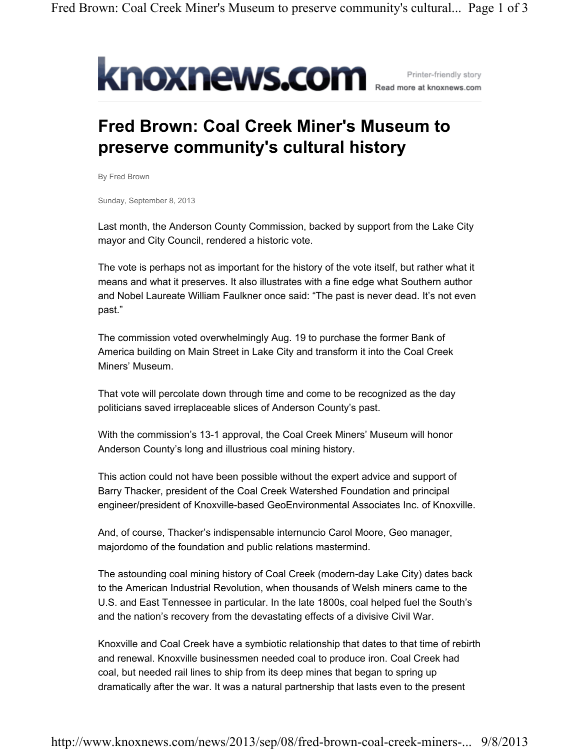

## **Fred Brown: Coal Creek Miner's Museum to preserve community's cultural history**

By Fred Brown

Sunday, September 8, 2013

Last month, the Anderson County Commission, backed by support from the Lake City mayor and City Council, rendered a historic vote.

The vote is perhaps not as important for the history of the vote itself, but rather what it means and what it preserves. It also illustrates with a fine edge what Southern author and Nobel Laureate William Faulkner once said: "The past is never dead. It's not even past."

The commission voted overwhelmingly Aug. 19 to purchase the former Bank of America building on Main Street in Lake City and transform it into the Coal Creek Miners' Museum.

That vote will percolate down through time and come to be recognized as the day politicians saved irreplaceable slices of Anderson County's past.

With the commission's 13-1 approval, the Coal Creek Miners' Museum will honor Anderson County's long and illustrious coal mining history.

This action could not have been possible without the expert advice and support of Barry Thacker, president of the Coal Creek Watershed Foundation and principal engineer/president of Knoxville-based GeoEnvironmental Associates Inc. of Knoxville.

And, of course, Thacker's indispensable internuncio Carol Moore, Geo manager, majordomo of the foundation and public relations mastermind.

The astounding coal mining history of Coal Creek (modern-day Lake City) dates back to the American Industrial Revolution, when thousands of Welsh miners came to the U.S. and East Tennessee in particular. In the late 1800s, coal helped fuel the South's and the nation's recovery from the devastating effects of a divisive Civil War.

Knoxville and Coal Creek have a symbiotic relationship that dates to that time of rebirth and renewal. Knoxville businessmen needed coal to produce iron. Coal Creek had coal, but needed rail lines to ship from its deep mines that began to spring up dramatically after the war. It was a natural partnership that lasts even to the present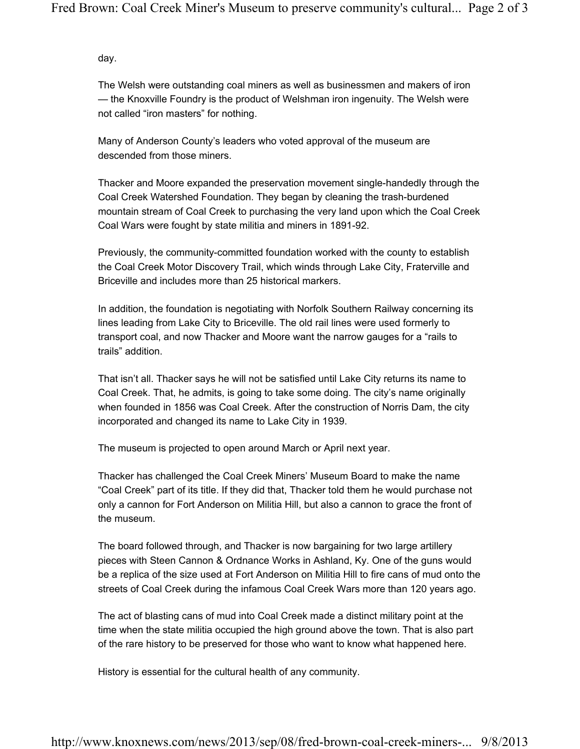day.

The Welsh were outstanding coal miners as well as businessmen and makers of iron — the Knoxville Foundry is the product of Welshman iron ingenuity. The Welsh were not called "iron masters" for nothing.

Many of Anderson County's leaders who voted approval of the museum are descended from those miners.

Thacker and Moore expanded the preservation movement single-handedly through the Coal Creek Watershed Foundation. They began by cleaning the trash-burdened mountain stream of Coal Creek to purchasing the very land upon which the Coal Creek Coal Wars were fought by state militia and miners in 1891-92.

Previously, the community-committed foundation worked with the county to establish the Coal Creek Motor Discovery Trail, which winds through Lake City, Fraterville and Briceville and includes more than 25 historical markers.

In addition, the foundation is negotiating with Norfolk Southern Railway concerning its lines leading from Lake City to Briceville. The old rail lines were used formerly to transport coal, and now Thacker and Moore want the narrow gauges for a "rails to trails" addition.

That isn't all. Thacker says he will not be satisfied until Lake City returns its name to Coal Creek. That, he admits, is going to take some doing. The city's name originally when founded in 1856 was Coal Creek. After the construction of Norris Dam, the city incorporated and changed its name to Lake City in 1939.

The museum is projected to open around March or April next year.

Thacker has challenged the Coal Creek Miners' Museum Board to make the name "Coal Creek" part of its title. If they did that, Thacker told them he would purchase not only a cannon for Fort Anderson on Militia Hill, but also a cannon to grace the front of the museum.

The board followed through, and Thacker is now bargaining for two large artillery pieces with Steen Cannon & Ordnance Works in Ashland, Ky. One of the guns would be a replica of the size used at Fort Anderson on Militia Hill to fire cans of mud onto the streets of Coal Creek during the infamous Coal Creek Wars more than 120 years ago.

The act of blasting cans of mud into Coal Creek made a distinct military point at the time when the state militia occupied the high ground above the town. That is also part of the rare history to be preserved for those who want to know what happened here.

History is essential for the cultural health of any community.